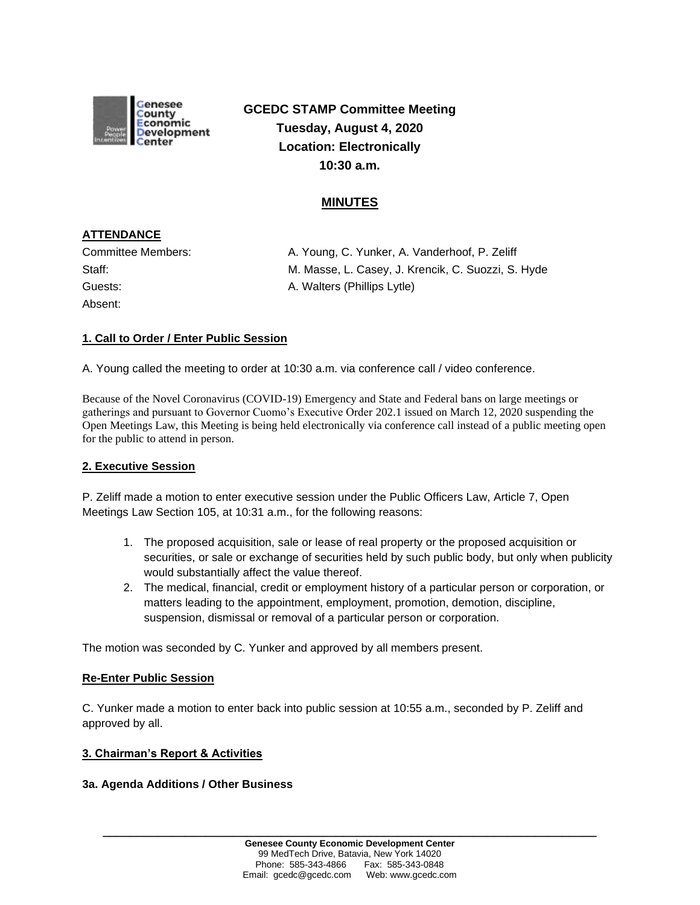

**GCEDC STAMP Committee Meeting Tuesday, August 4, 2020 Location: Electronically 10:30 a.m.**

# **MINUTES**

## **ATTENDANCE**

| Committee Members: |  |
|--------------------|--|
| Staff:             |  |
| Guests:            |  |
| Absent:            |  |

A. Young, C. Yunker, A. Vanderhoof, P. Zeliff M. Masse, L. Casey, J. Krencik, C. Suozzi, S. Hyde A. Walters (Phillips Lytle)

## **1. Call to Order / Enter Public Session**

A. Young called the meeting to order at 10:30 a.m. via conference call / video conference.

Because of the Novel Coronavirus (COVID-19) Emergency and State and Federal bans on large meetings or gatherings and pursuant to Governor Cuomo's Executive Order 202.1 issued on March 12, 2020 suspending the Open Meetings Law, this Meeting is being held electronically via conference call instead of a public meeting open for the public to attend in person.

## **2. Executive Session**

P. Zeliff made a motion to enter executive session under the Public Officers Law, Article 7, Open Meetings Law Section 105, at 10:31 a.m., for the following reasons:

- 1. The proposed acquisition, sale or lease of real property or the proposed acquisition or securities, or sale or exchange of securities held by such public body, but only when publicity would substantially affect the value thereof.
- 2. The medical, financial, credit or employment history of a particular person or corporation, or matters leading to the appointment, employment, promotion, demotion, discipline, suspension, dismissal or removal of a particular person or corporation.

The motion was seconded by C. Yunker and approved by all members present.

## **Re-Enter Public Session**

C. Yunker made a motion to enter back into public session at 10:55 a.m., seconded by P. Zeliff and approved by all.

### **3. Chairman's Report & Activities**

## **3a. Agenda Additions / Other Business**

**\_\_\_\_\_\_\_\_\_\_\_\_\_\_\_\_\_\_\_\_\_\_\_\_\_\_\_\_\_\_\_\_\_\_\_\_\_\_\_\_\_\_\_\_\_\_\_\_\_\_\_\_\_\_\_\_\_\_\_\_\_\_\_\_\_\_\_\_\_\_\_\_**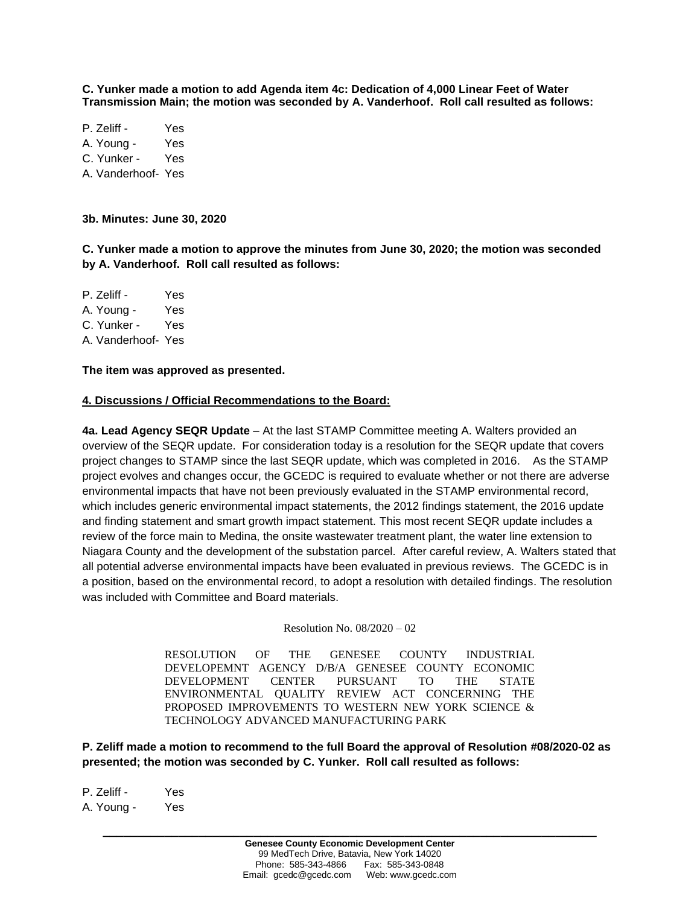**C. Yunker made a motion to add Agenda item 4c: Dedication of 4,000 Linear Feet of Water Transmission Main; the motion was seconded by A. Vanderhoof. Roll call resulted as follows:**

P. Zeliff - Yes A. Young - Yes C. Yunker - Yes A. Vanderhoof- Yes

**3b. Minutes: June 30, 2020**

**C. Yunker made a motion to approve the minutes from June 30, 2020; the motion was seconded by A. Vanderhoof. Roll call resulted as follows:**

P. Zeliff - Yes A. Young - Yes C. Yunker - Yes A. Vanderhoof- Yes

**The item was approved as presented.**

#### **4. Discussions / Official Recommendations to the Board:**

**4a. Lead Agency SEQR Update** – At the last STAMP Committee meeting A. Walters provided an overview of the SEQR update. For consideration today is a resolution for the SEQR update that covers project changes to STAMP since the last SEQR update, which was completed in 2016. As the STAMP project evolves and changes occur, the GCEDC is required to evaluate whether or not there are adverse environmental impacts that have not been previously evaluated in the STAMP environmental record, which includes generic environmental impact statements, the 2012 findings statement, the 2016 update and finding statement and smart growth impact statement. This most recent SEQR update includes a review of the force main to Medina, the onsite wastewater treatment plant, the water line extension to Niagara County and the development of the substation parcel. After careful review, A. Walters stated that all potential adverse environmental impacts have been evaluated in previous reviews. The GCEDC is in a position, based on the environmental record, to adopt a resolution with detailed findings. The resolution was included with Committee and Board materials.

Resolution No. 08/2020 – 02

RESOLUTION OF THE GENESEE COUNTY INDUSTRIAL DEVELOPEMNT AGENCY D/B/A GENESEE COUNTY ECONOMIC DEVELOPMENT CENTER PURSUANT TO THE STATE ENVIRONMENTAL QUALITY REVIEW ACT CONCERNING THE PROPOSED IMPROVEMENTS TO WESTERN NEW YORK SCIENCE & TECHNOLOGY ADVANCED MANUFACTURING PARK

**P. Zeliff made a motion to recommend to the full Board the approval of Resolution #08/2020-02 as presented; the motion was seconded by C. Yunker. Roll call resulted as follows:**

P. Zeliff - Yes A. Young - Yes

**\_\_\_\_\_\_\_\_\_\_\_\_\_\_\_\_\_\_\_\_\_\_\_\_\_\_\_\_\_\_\_\_\_\_\_\_\_\_\_\_\_\_\_\_\_\_\_\_\_\_\_\_\_\_\_\_\_\_\_\_\_\_\_\_\_\_\_\_\_\_\_\_**